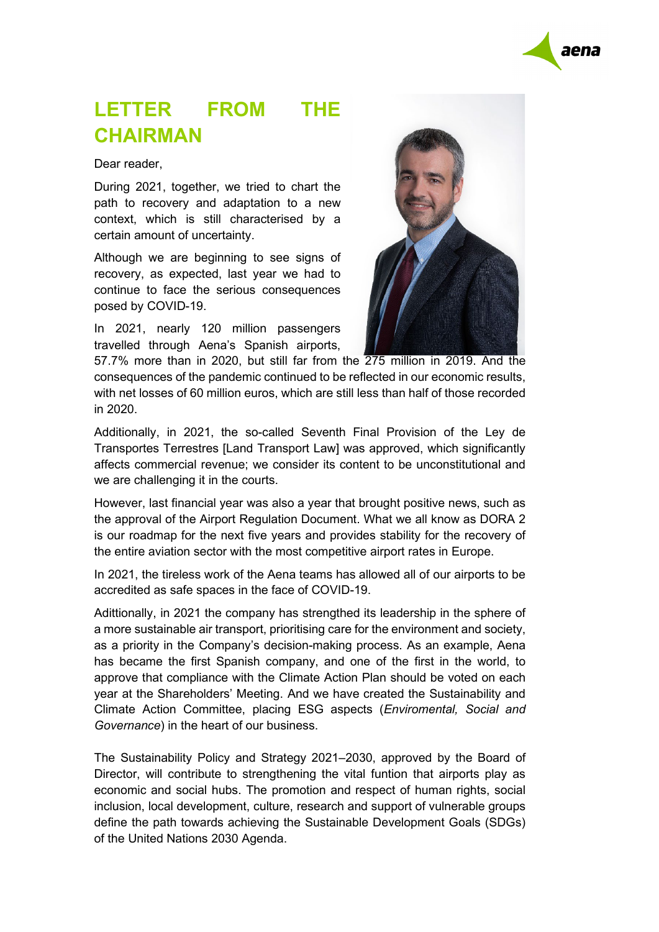

## **LETTER FROM THE CHAIRMAN**

Dear reader,

During 2021, together, we tried to chart the path to recovery and adaptation to a new context, which is still characterised by a certain amount of uncertainty.

Although we are beginning to see signs of recovery, as expected, last year we had to continue to face the serious consequences posed by COVID-19.

In 2021, nearly 120 million passengers travelled through Aena's Spanish airports,



57.7% more than in 2020, but still far from the 275 million in 2019. And the consequences of the pandemic continued to be reflected in our economic results, with net losses of 60 million euros, which are still less than half of those recorded in 2020.

Additionally, in 2021, the so-called Seventh Final Provision of the Ley de Transportes Terrestres [Land Transport Law] was approved, which significantly affects commercial revenue; we consider its content to be unconstitutional and we are challenging it in the courts.

However, last financial year was also a year that brought positive news, such as the approval of the Airport Regulation Document. What we all know as DORA 2 is our roadmap for the next five years and provides stability for the recovery of the entire aviation sector with the most competitive airport rates in Europe.

In 2021, the tireless work of the Aena teams has allowed all of our airports to be accredited as safe spaces in the face of COVID-19.

Adittionally, in 2021 the company has strengthed its leadership in the sphere of a more sustainable air transport, prioritising care for the environment and society, as a priority in the Company's decision-making process. As an example, Aena has became the first Spanish company, and one of the first in the world, to approve that compliance with the Climate Action Plan should be voted on each year at the Shareholders' Meeting. And we have created the Sustainability and Climate Action Committee, placing ESG aspects (*Enviromental, Social and Governance*) in the heart of our business.

The Sustainability Policy and Strategy 2021–2030, approved by the Board of Director, will contribute to strengthening the vital funtion that airports play as economic and social hubs. The promotion and respect of human rights, social inclusion, local development, culture, research and support of vulnerable groups define the path towards achieving the Sustainable Development Goals (SDGs) of the United Nations 2030 Agenda.